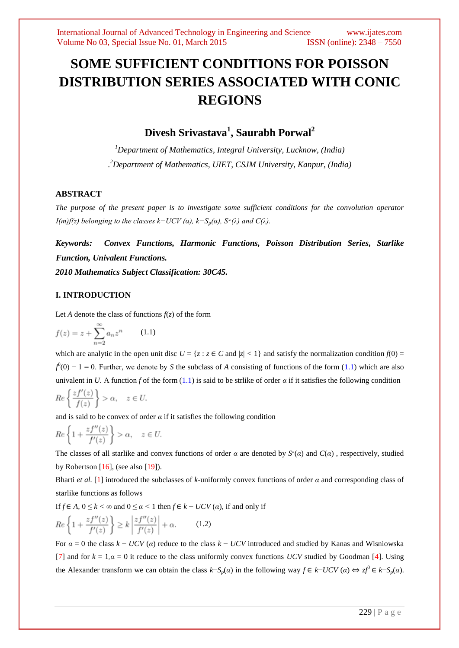# **SOME SUFFICIENT CONDITIONS FOR POISSON DISTRIBUTION SERIES ASSOCIATED WITH CONIC REGIONS**

**Divesh Srivastava<sup>1</sup> , Saurabh Porwal<sup>2</sup>**

*<sup>1</sup>Department of Mathematics, Integral University, Lucknow, (India) . <sup>2</sup>Department of Mathematics, UIET, CSJM University, Kanpur, (India)*

# **ABSTRACT**

*The purpose of the present paper is to investigate some sufficient conditions for the convolution operator I(m)f(z) belonging to the classes k–UCV (* $\alpha$ *), k–S<sub><i>p*</sub>( $\alpha$ ), S<sup>\*</sup>( $\lambda$ ) and C( $\lambda$ ).

*Keywords: Convex Functions, Harmonic Functions, Poisson Distribution Series, Starlike Function, Univalent Functions.*

*2010 Mathematics Subject Classification: 30C45.*

# **I. INTRODUCTION**

Let *A* denote the class of functions  $f(z)$  of the form

$$
f(z) = z + \sum_{n=2}^{\infty} a_n z^n \qquad (1.1)
$$

which are analytic in the open unit disc  $U = \{z : z \in C \text{ and } |z| < 1\}$  and satisfy the normalization condition  $f(0) =$  $f^0(0) - 1 = 0$ . Further, we denote by *S* the subclass of *A* consisting of functions of the form (1.1) which are also univalent in *U*. A function *f* of the form (1.1) is said to be strlike of order  $\alpha$  if it satisfies the following condition

$$
Re\left\{\frac{zf'(z)}{f(z)}\right\} > \alpha, \quad z \in U.
$$

and is said to be convex of order  $\alpha$  if it satisfies the following condition

$$
Re\left\{1+\frac{zf^{\prime\prime}(z)}{f^{\prime}(z)}\right\} > \alpha, \quad z \in U.
$$

The classes of all starlike and convex functions of order  $\alpha$  are denoted by  $S^*(\alpha)$  and  $C(\alpha)$ , respectively, studied by Robertson  $[16]$ , (see also  $[19]$ ).

Bharti *et al.* [1] introduced the subclasses of *k*-uniformly convex functions of order *α* and corresponding class of starlike functions as follows

If *f* ∈ *A,* 0 ≤ *k <* ∞ and 0 ≤ *α <* 1 then *f* ∈ *k* − *UCV* (*α*), if and only if

$$
Re\left\{1+\frac{zf^{\prime\prime}(z)}{f^{\prime}(z)}\right\} \ge k\left|\frac{zf^{\prime\prime}(z)}{f^{\prime}(z)}\right|+\alpha.
$$
 (1.2)

For  $\alpha = 0$  the class  $k - UCV(\alpha)$  reduce to the class  $k - UCV$  introduced and studied by Kanas and Wisniowska [7] and for  $k = 1, \alpha = 0$  it reduce to the class uniformly convex functions *UCV* studied by Goodman [4]. Using the Alexander transform we can obtain the class  $k-S_p(a)$  in the following way  $f \in k-UCV(a) \Leftrightarrow zf^0 \in k-S_p(a)$ .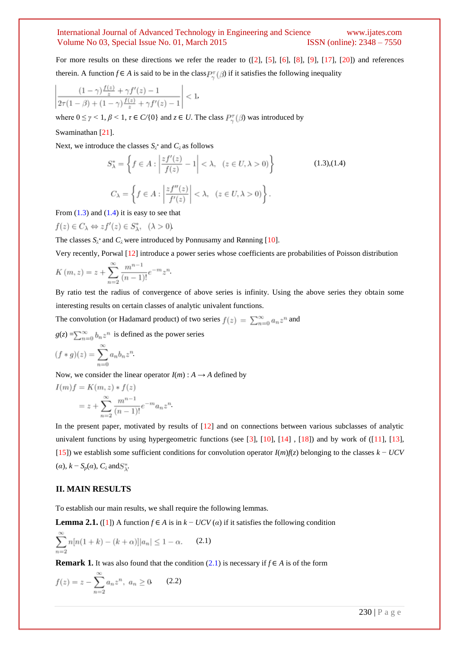For more results on these directions we refer the reader to ([2], [5], [6], [8], [9], [17], [20]) and references therein. A function *f* ∈ *A* is said to be in the class  $P_{\infty}^{\pi}(\beta)$  if it satisfies the following inequality

$$
\left| \frac{(1-\gamma)\frac{f(z)}{z} + \gamma f'(z) - 1}{2\tau(1-\beta) + (1-\gamma)\frac{f(z)}{z} + \gamma f'(z) - 1} \right| < 1
$$

where  $0 \leq \gamma \leq 1$ ,  $\beta \leq 1$ ,  $\tau \in C(\{0\})$  and  $z \in U$ . The class  $P_{\gamma}^{\tau}(\beta)$  was introduced by

#### Swaminathan [21].

Next, we introduce the classes  $S_\lambda^*$  and  $C_\lambda$  as follows

$$
S_{\lambda}^{*} = \left\{ f \in A : \left| \frac{zf'(z)}{f(z)} - 1 \right| < \lambda, \quad (z \in U, \lambda > 0) \right\}
$$
(1.3),(1.4)  

$$
C_{\lambda} = \left\{ f \in A : \left| \frac{zf''(z)}{f'(z)} \right| < \lambda, \quad (z \in U, \lambda > 0) \right\}.
$$

From  $(1.3)$  and  $(1.4)$  it is easy to see that

 $f(z) \in C_{\lambda} \Leftrightarrow z f'(z) \in S_{\lambda}^*, \quad (\lambda > 0)$ 

The classes  $S_\lambda^*$  and  $C_\lambda$  were introduced by Ponnusamy and Rønning [10].

*.*

Very recently, Porwal [12] introduce a power series whose coefficients are probabilities of Poisson distribution

$$
K(m, z) = z + \sum_{n=2}^{\infty} \frac{m^{n-1}}{(n-1)!} e^{-m} z^{n}
$$

By ratio test the radius of convergence of above series is infinity. Using the above series they obtain some interesting results on certain classes of analytic univalent functions.

The convolution (or Hadamard product) of two series  $f(z) = \sum_{n=0}^{\infty} a_n z^n$  and

 $g(z) = \sum_{n=0}^{\infty} b_n z^n$  is defined as the power series  $(f*g)(z)=\sum_{n=-\infty}^{\infty}a_nb_nz^n$ 

Now, we consider the linear operator  $I(m)$ :  $A \rightarrow A$  defined by

$$
I(m)f = K(m, z) * f(z)
$$
  
=  $z + \sum_{n=2}^{\infty} \frac{m^{n-1}}{(n-1)!} e^{-m} a_n z^n$ 

In the present paper, motivated by results of [12] and on connections between various subclasses of analytic univalent functions by using hypergeometric functions (see [3], [10], [14] , [18]) and by work of ([11], [13], [15]) we establish some sufficient conditions for convolution operator *I*(*m*)*f*(*z*) belonging to the classes *k* − *UCV*   $(\alpha)$ ,  $k - S_p(\alpha)$ ,  $C_\lambda$  and  $S_\lambda^*$ .

## **II. MAIN RESULTS**

To establish our main results, we shall require the following lemmas.

**Lemma 2.1.** ([1]) A function  $f \in A$  is in  $k - UCV(\alpha)$  if it satisfies the following condition

$$
\sum_{n=2}^{\infty} n[n(1+k) - (k+\alpha)]|a_n| \le 1 - \alpha.
$$
 (2.1)

**Remark 1.** It was also found that the condition (2.1) is necessary if  $f \in A$  is of the form

$$
f(z) = z - \sum_{n=2}^{\infty} a_n z^n, \ a_n \ge 0 \qquad (2.2)
$$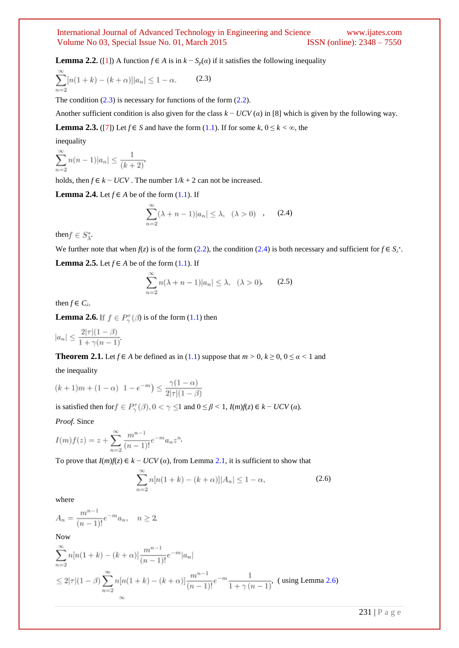**Lemma 2.2.** ([1]) A function  $f \in A$  is in  $k - S_p(a)$  if it satisfies the following inequality

$$
\sum_{n=2}^{\infty} [n(1+k) - (k+\alpha)] |a_n| \le 1 - \alpha.
$$
 (2.3)

The condition  $(2.3)$  is necessary for functions of the form  $(2.2)$ .

Another sufficient condition is also given for the class *k* − *UCV* (*α*) in [8] which is given by the following way.

**Lemma 2.3.** ([7]) Let  $f \in S$  and have the form (1.1). If for some  $k, 0 \le k < \infty$ , the

inequality

$$
\sum_{n=2}^{\infty} n(n-1)|a_n| \le \frac{1}{(k+2)}
$$

holds, then *f* ∈ *k* − *UCV*. The number  $1/k + 2$  can not be increased.

**Lemma 2.4.** Let  $f \in A$  be of the form  $(1.1)$ . If

$$
\sum_{n=2}^{\infty} (\lambda + n - 1)|a_n| \le \lambda, \quad (\lambda > 0) \tag{2.4}
$$

then  $f \in S^*_\lambda$ .

We further note that when  $f(z)$  is of the form (2.2), the condition (2.4) is both necessary and sufficient for  $f \in S_\lambda^*$ .

**Lemma 2.5.** Let  $f \in A$  be of the form (1.1). If

$$
\sum_{n=2}^{\infty} n(\lambda + n - 1)|a_n| \le \lambda, \quad (\lambda > 0)
$$
 (2.5)

then  $f \in C_\lambda$ .

**Lemma 2.6.** If  $f \in P_{\gamma}^{\tau}(\beta)$  is of the form (1.1) then

$$
|a_n| \le \frac{2|\tau|(1-\beta)}{1+\gamma(n-1)}
$$

**Theorem 2.1.** Let *f*  $\in$  *A* be defined as in (1.1) suppose that  $m > 0$ ,  $k \ge 0$ ,  $0 \le \alpha < 1$  and

the inequality

$$
(k+1)m + (1 - \alpha) \quad 1 - e^{-m} \le \frac{\gamma(1 - \alpha)}{2|\tau|(1 - \beta)}
$$

is satisfied then for  $f \in P_{\gamma}^{\tau}(\beta)$ ,  $0 < \gamma \leq 1$  and  $0 \leq \beta < 1$ ,  $I(m)f(z) \in k - UCV(\alpha)$ .

*Proof.* Since

$$
I(m)f(z) = z + \sum_{n=2}^{\infty} \frac{m^{n-1}}{(n-1)!} e^{-m} a_n z^n
$$

To prove that  $I(m)f(z) \in k - UCV(\alpha)$ , from Lemma 2.1, it is sufficient to show that

$$
\sum_{n=2}^{\infty} n[n(1+k) - (k+\alpha)]|A_n| \le 1 - \alpha,
$$
\n(2.6)

where

$$
A_n = \frac{m^{n-1}}{(n-1)!} e^{-m} a_n, \quad n \ge 2
$$

Now

$$
\sum_{n=2}^{\infty} n[n(1+k) - (k+\alpha)] \frac{m^{n-1}}{(n-1)!} e^{-m} |a_n|
$$
  
\n
$$
\leq 2|\tau|(1-\beta) \sum_{n=2}^{\infty} n[n(1+k) - (k+\alpha)] \frac{m^{n-1}}{(n-1)!} e^{-m} \frac{1}{1+\gamma (n-1)}, \text{ (using Lemma 2.6)}
$$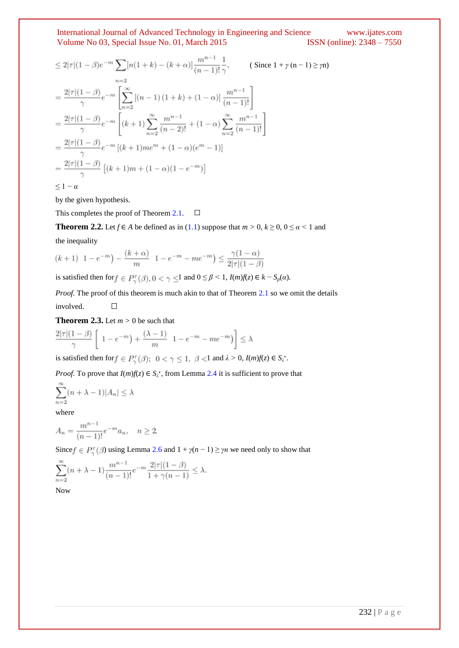$$
\leq 2|\tau|(1-\beta)e^{-m}\sum_{n=2} [n(1+k)-(k+\alpha)]\frac{m^{n-1}}{(n-1)!}\frac{1}{\gamma}, \qquad \text{(Since } 1+\gamma(n-1)\geq\gamma n\text{)}
$$
\n
$$
=\frac{2|\tau|(1-\beta)}{\gamma}e^{-m}\left[\sum_{n=2}^{\infty} [(n-1)(1+k)+(1-\alpha)]\frac{m^{n-1}}{(n-1)!}\right]
$$
\n
$$
=\frac{2|\tau|(1-\beta)}{\gamma}e^{-m}\left[(k+1)\sum_{n=2}^{\infty}\frac{m^{n-1}}{(n-2)!}+(1-\alpha)\sum_{n=2}^{\infty}\frac{m^{n-1}}{(n-1)!}\right]
$$
\n
$$
=\frac{2|\tau|(1-\beta)}{\gamma}e^{-m}[(k+1)me^{m}+(1-\alpha)(e^{m}-1)]
$$
\n
$$
=\frac{2|\tau|(1-\beta)}{\gamma}\left[(k+1)m+(1-\alpha)(1-e^{-m})\right]
$$
\n
$$
\leq 1-\alpha
$$
\n
$$
(1-\alpha)\left(\frac{e^{-m}-1}{e^{-m}}\right)e^{-m}\left[\frac{e^{-m}-1}{e^{-m}}\right]
$$

by the given hypothesis.

This completes the proof of Theorem 2.1.  $\Box$ 

**Theorem 2.2.** Let  $f \in A$  be defined as in (1.1) suppose that  $m > 0$ ,  $k \ge 0$ ,  $0 \le \alpha < 1$  and

the inequality

$$
(k+1) \ \ 1 - e^{-m} - \frac{(k+\alpha)}{m} \ \ 1 - e^{-m} - me^{-m} \le \frac{\gamma(1-\alpha)}{2|\tau|(1-\beta)}
$$

is satisfied then for  $f \in P_{\gamma}^{\tau}(\beta)$ ,  $0 < \gamma \leq 1$  and  $0 \leq \beta < 1$ ,  $I(m)f(z) \in k - S_p(\alpha)$ .

*Proof.* The proof of this theorem is much akin to that of Theorem 2.1 so we omit the details involved.  $\Box$ 

**Theorem 2.3.** Let  $m > 0$  be such that

$$
\frac{2|\tau|(1-\beta)}{\gamma}\left[\begin{array}{c} 1-e^{-m}\end{array}\right]+\frac{(\lambda-1)}{m}\left[\begin{array}{c} 1-e^{-m}-me^{-m}\end{array}\right]\le\lambda
$$

is satisfied then for  $f \in P_{\infty}^{\top}(\beta)$ ;  $0 < \gamma \leq 1$ ,  $\beta < 1$  and  $\lambda > 0$ ,  $I(m)f(z) \in S_{\lambda}^*$ .

*Proof.* To prove that  $I(m)f(z) \in S_{\lambda}^*$ , from Lemma 2.4 it is sufficient to prove that

$$
\sum_{n=2}^{\infty} (n + \lambda - 1)|A_n| \le \lambda
$$

where

$$
A_n=\frac{m^{n-1}}{(n-1)!}e^{-m}a_n,\quad n\geq 2
$$

Since  $f \in P_{\gamma}^{\tau}(\beta)$  using Lemma 2.6 and  $1 + \gamma(n-1) \ge \gamma n$  we need only to show that

$$
\sum_{n=2}^{\infty} (n + \lambda - 1) \frac{m^{n-1}}{(n-1)!} e^{-m} \frac{2|\tau|(1-\beta)}{1 + \gamma(n-1)} \le \lambda.
$$

Now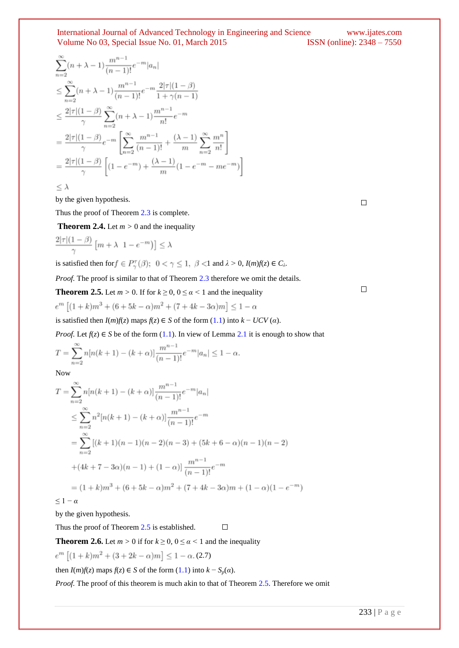$$
\sum_{n=2}^{\infty} (n + \lambda - 1) \frac{m^{n-1}}{(n-1)!} e^{-m} |a_n|
$$
\n
$$
\leq \sum_{n=2}^{\infty} (n + \lambda - 1) \frac{m^{n-1}}{(n-1)!} e^{-m} \frac{2|\tau| (1 - \beta)}{1 + \gamma (n-1)}
$$
\n
$$
\leq \frac{2|\tau| (1 - \beta)}{\gamma} \sum_{n=2}^{\infty} (n + \lambda - 1) \frac{m^{n-1}}{n!} e^{-m}
$$
\n
$$
= \frac{2|\tau| (1 - \beta)}{\gamma} e^{-m} \left[ \sum_{n=2}^{\infty} \frac{m^{n-1}}{(n-1)!} + \frac{(\lambda - 1)}{m} \sum_{n=2}^{\infty} \frac{m^n}{n!} \right]
$$
\n
$$
= \frac{2|\tau| (1 - \beta)}{\gamma} \left[ (1 - e^{-m}) + \frac{(\lambda - 1)}{m} (1 - e^{-m} - me^{-m}) \right]
$$

 $\leq \lambda$ 

by the given hypothesis.

Thus the proof of Theorem 2.3 is complete.

**Theorem 2.4.** Let  $m > 0$  and the inequality

$$
\frac{2|\tau|(1-\beta)}{\gamma}\left[m+\lambda \ 1-e^{-m}\right]\right]\leq \lambda
$$

is satisfied then for  $f \in P_{\gamma}^{\tau}(\beta)$ ;  $0 < \gamma \leq 1$ ,  $\beta < 1$  and  $\lambda > 0$ ,  $I(m)f(z) \in C_{\lambda}$ .

*Proof.* The proof is similar to that of Theorem 2.3 therefore we omit the details.

**Theorem 2.5.** Let 
$$
m > 0
$$
. If for  $k \ge 0$ ,  $0 \le \alpha < 1$  and the inequality  $e^m [(1 + k)m^3 + (6 + 5k - \alpha)m^2 + (7 + 4k - 3\alpha)m] \le 1 - \alpha$ 

is satisfied then *I*(*m*)*f*(*z*) maps *f*(*z*) ∈ *S* of the form (1.1) into *k* − *UCV* (*α*).

*Proof.* Let  $f(z) \in S$  be of the form (1.1). In view of Lemma 2.1 it is enough to show that

$$
T = \sum_{n=2}^{\infty} n[n(k+1) - (k+\alpha)] \frac{m^{n-1}}{(n-1)!} e^{-m} |a_n| \le 1 - \alpha.
$$

Now

$$
T = \sum_{n=2}^{\infty} n[n(k+1) - (k+\alpha)] \frac{m^{n-1}}{(n-1)!} e^{-m} |a_n|
$$
  
\n
$$
\leq \sum_{n=2}^{\infty} n^2 [n(k+1) - (k+\alpha)] \frac{m^{n-1}}{(n-1)!} e^{-m}
$$
  
\n
$$
= \sum_{n=2}^{\infty} [(k+1)(n-1)(n-2)(n-3) + (5k+6-\alpha)(n-1)(n-2)
$$
  
\n
$$
+(4k+7-3\alpha)(n-1) + (1-\alpha)] \frac{m^{n-1}}{(n-1)!} e^{-m}
$$
  
\n
$$
= (1+k)m^3 + (6+5k-\alpha)m^2 + (7+4k-3\alpha)m + (1-\alpha)(1-e^{-m})
$$

 $\leq 1 - \alpha$ 

by the given hypothesis.

Thus the proof of Theorem 2.5 is established.

**Theorem 2.6.** Let  $m > 0$  if for  $k \ge 0$ ,  $0 \le \alpha < 1$  and the inequality

 $e^{m} [(1+k)m^2 + (3+2k-\alpha)m] \le 1 - \alpha$ . (2.7)

then  $I(m)f(z)$  maps  $f(z) \in S$  of the form (1.1) into  $k - S_p(\alpha)$ .

*Proof.* The proof of this theorem is much akin to that of Theorem 2.5. Therefore we omit

 $\Box$ 

 $\Box$ 

 $\Box$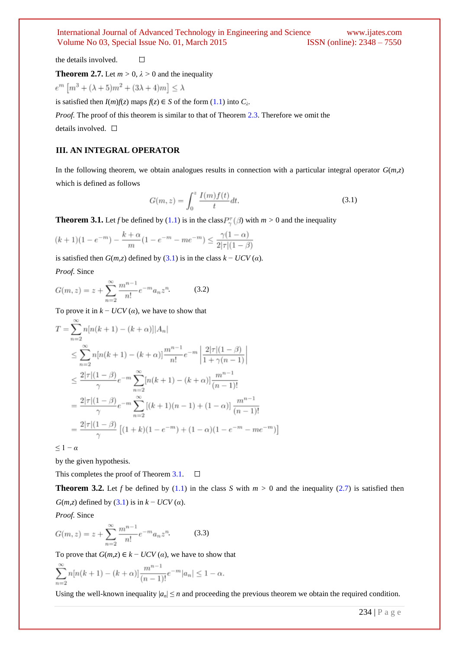the details involved.  $\Box$ 

**Theorem 2.7.** Let  $m > 0$ ,  $\lambda > 0$  and the inequality

$$
e^m \left[ m^3 + (\lambda + 5)m^2 + (3\lambda + 4)m \right] \le \lambda
$$

is satisfied then  $I(m)f(z)$  maps  $f(z) \in S$  of the form  $(1.1)$  into  $C_\lambda$ .

*Proof.* The proof of this theorem is similar to that of Theorem 2.3. Therefore we omit the details involved.  $\square$ 

# **III. AN INTEGRAL OPERATOR**

In the following theorem, we obtain analogues results in connection with a particular integral operator  $G(m,z)$ which is defined as follows

$$
G(m, z) = \int_0^z \frac{I(m)f(t)}{t} dt.
$$
 (3.1)

**Theorem 3.1.** Let *f* be defined by (1.1) is in the class  $P_{\gamma}^{\tau}(\beta)$  with  $m > 0$  and the inequality

$$
(k+1)(1 - e^{-m}) - \frac{k+\alpha}{m}(1 - e^{-m} - me^{-m}) \le \frac{\gamma(1-\alpha)}{2|\tau|(1-\beta)}
$$

is satisfied then  $G(m,z)$  defined by (3.1) is in the class  $k - UCV(\alpha)$ .

*Proof.* Since

$$
G(m, z) = z + \sum_{n=2}^{\infty} \frac{m^{n-1}}{n!} e^{-m} a_n z^n
$$
 (3.2)

To prove it in  $k - UCV(\alpha)$ , we have to show that

$$
T = \sum_{n=2}^{\infty} n[n(k+1) - (k+\alpha)]|A_n|
$$
  
\n
$$
\leq \sum_{n=2}^{\infty} n[n(k+1) - (k+\alpha)] \frac{m^{n-1}}{n!} e^{-m} \left| \frac{2|\tau|(1-\beta)}{1+\gamma(n-1)} \right|
$$
  
\n
$$
\leq \frac{2|\tau|(1-\beta)}{\gamma} e^{-m} \sum_{n=2}^{\infty} [n(k+1) - (k+\alpha)] \frac{m^{n-1}}{(n-1)!}
$$
  
\n
$$
= \frac{2|\tau|(1-\beta)}{\gamma} e^{-m} \sum_{n=2}^{\infty} [(k+1)(n-1) + (1-\alpha)] \frac{m^{n-1}}{(n-1)!}
$$
  
\n
$$
= \frac{2|\tau|(1-\beta)}{\gamma} [(1+k)(1-e^{-m}) + (1-\alpha)(1-e^{-m}-me^{-m})]
$$

 $\leq 1 - \alpha$ 

by the given hypothesis.

This completes the proof of Theorem 3.1.  $\Box$ 

**Theorem 3.2.** Let *f* be defined by (1.1) in the class *S* with  $m > 0$  and the inequality (2.7) is satisfied then *G*( $m$ ,*z*) defined by (3.1) is in  $k - UCV(\alpha)$ .

*Proof.* Since

$$
G(m, z) = z + \sum_{n=2}^{\infty} \frac{m^{n-1}}{n!} e^{-m} a_n z^n
$$
 (3.3)

To prove that  $G(m,z) \in k - UCV(\alpha)$ , we have to show that

$$
\sum_{n=2}^{\infty} n[n(k+1) - (k+\alpha)] \frac{m^{n-1}}{(n-1)!} e^{-m} |a_n| \le 1 - \alpha.
$$

Using the well-known inequality  $|a_n| \leq n$  and proceeding the previous theorem we obtain the required condition.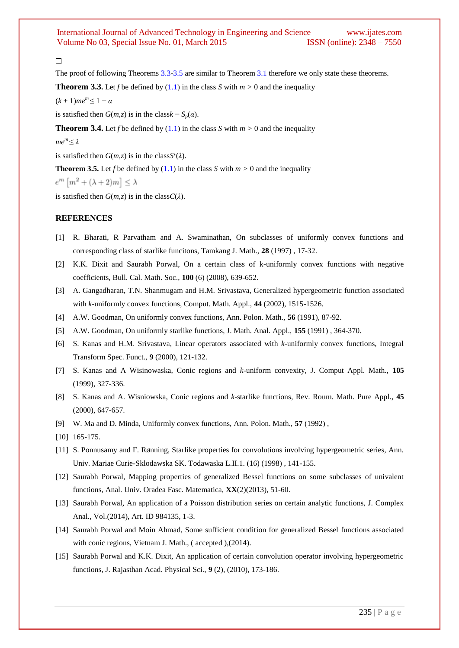# $\Box$

The proof of following Theorems 3.3-3.5 are similar to Theorem 3.1 therefore we only state these theorems.

**Theorem 3.3.** Let *f* be defined by (1.1) in the class *S* with  $m > 0$  and the inequality

 $(k + 1)me^{m} \leq 1 - \alpha$ 

is satisfied then  $G(m,z)$  is in the class  $k - S_p(a)$ .

**Theorem 3.4.** Let *f* be defined by (1.1) in the class *S* with  $m > 0$  and the inequality

 $me<sup>m</sup> ≤ λ$ 

is satisfied then  $G(m,z)$  is in the class $S^*(\lambda)$ .

**Theorem 3.5.** Let *f* be defined by  $(1.1)$  in the class *S* with  $m > 0$  and the inequality

 $e^m \left[ m^2 + (\lambda + 2)m \right] \leq \lambda$ 

is satisfied then  $G(m,z)$  is in the class  $C(\lambda)$ .

#### **REFERENCES**

- [1] R. Bharati, R Parvatham and A. Swaminathan, On subclasses of uniformly convex functions and corresponding class of starlike funcitons, Tamkang J. Math., **28** (1997) , 17-32.
- [2] K.K. Dixit and Saurabh Porwal, On a certain class of k-uniformly convex functions with negative coefficients, Bull. Cal. Math. Soc., **100** (6) (2008), 639-652.
- [3] A. Gangadharan, T.N. Shanmugam and H.M. Srivastava, Generalized hypergeometric function associated with *k*-uniformly convex functions, Comput. Math. Appl., **44** (2002), 1515-1526.
- [4] A.W. Goodman, On uniformly convex functions, Ann. Polon. Math., **56** (1991), 87-92.
- [5] A.W. Goodman, On uniformly starlike functions, J. Math. Anal. Appl., **155** (1991) , 364-370.
- [6] S. Kanas and H.M. Srivastava, Linear operators associated with *k*-uniformly convex functions, Integral Transform Spec. Funct., **9** (2000), 121-132.
- [7] S. Kanas and A Wisinowaska, Conic regions and *k*-uniform convexity, J. Comput Appl. Math., **105** (1999), 327-336.
- [8] S. Kanas and A. Wisniowska, Conic regions and *k*-starlike functions, Rev. Roum. Math. Pure Appl., **45**  (2000), 647-657.
- [9] W. Ma and D. Minda, Uniformly convex functions, Ann. Polon. Math., **57** (1992) ,
- [10] 165-175.
- [11] S. Ponnusamy and F. Rønning, Starlike properties for convolutions involving hypergeometric series, Ann. Univ. Mariae Curie-Sklodawska SK. Todawaska L.II.1. (16) (1998) , 141-155.
- [12] Saurabh Porwal, Mapping properties of generalized Bessel functions on some subclasses of univalent functions, Anal. Univ. Oradea Fasc. Matematica, **XX**(2)(2013), 51-60.
- [13] Saurabh Porwal, An application of a Poisson distribution series on certain analytic functions, J. Complex Anal., Vol.(2014), Art. ID 984135, 1-3.
- [14] Saurabh Porwal and Moin Ahmad, Some sufficient condition for generalized Bessel functions associated with conic regions, Vietnam J. Math., ( accepted ),(2014).
- [15] Saurabh Porwal and K.K. Dixit, An application of certain convolution operator involving hypergeometric functions, J. Rajasthan Acad. Physical Sci., **9** (2), (2010), 173-186.